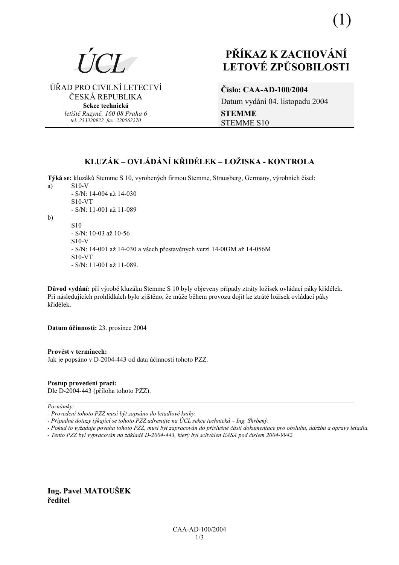

ÚŘAD PRO CIVILNÍ LETECTVÍ ČESKÁ REPUBLIKA

> Sekce technická letiště Ruzyně, 160 08 Praha 6 tel: 233320922, fax: 220562270

# PŘÍKAZ K ZACHOVÁNÍ **LETOVÉ ZPŮSOBILOSTI**

Číslo: CAA-AD-100/2004 Datum vydání 04. listopadu 2004 **STEMME STEMME S10** 

# KLUZÁK – OVLÁDÁNÍ KŘIDÉLEK – LOŽISKA - KONTROLA

Týká se: kluzáků Stemme S 10, vyrobených firmou Stemme, Strausberg, Germany, výrobních čísel: a)  $S10-V$ 

- S/N: 14-004 až 14-030  $S10-VT$ - S/N: 11-001 až 11-089

 $b)$ 

**S10** - S/N: 10-03 až 10-56  $S10-V$ - S/N: 14-001 až 14-030 a všech přestavěných verzí 14-003M až 14-056M  $S10-VT$ - S/N: 11-001 až 11-089.

Důvod vydání: při výrobě kluzáku Stemme S 10 byly objeveny případy ztráty ložisek ovládací páky křidélek. Při následujících prohlídkách bylo zjištěno, že může během provozu dojít ke ztrátě ložisek ovládací páky křidélek

Datum účinnosti: 23. prosince 2004

Provést v termínech: Jak je popsáno v D-2004-443 od data účinnosti tohoto PZZ.

Postup provedení prací:

Dle D-2004-443 (příloha tohoto PZZ).

Poznámky:

- Případné dotazy týkající se tohoto PZZ adresujte na ÚCL sekce technická – Ing. Shrbený.

- Pokud to vyžaduje povaha tohoto PZZ, musí být zapracován do příslušné části dokumentace pro obsluhu, údržbu a opravy letadla.

- Tento PZZ byl vypracován na základě D-2004-443, který byl schválen EASA pod číslem 2004-9942.

Ing. Pavel MATOUŠEK ředitel

<sup>-</sup> Provedení tohoto PZZ musí být zapsáno do letadlové knihy.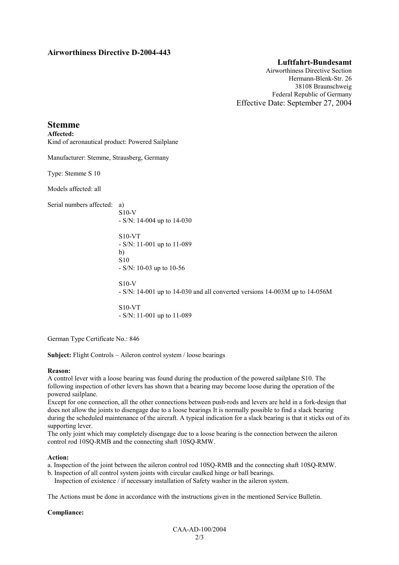### **Airworthiness Directive D-2004-443**

#### **Luftfahrt-Bundesamt**

Airworthiness Directive Section Hermann-Blenk-Str. 26 38108 Braunschweig Federal Republic of Germany Effective Date: September 27, 2004

## **Stemme**

**Affected:**  Kind of aeronautical product: Powered Sailplane

Manufacturer: Stemme, Strausberg, Germany

Type: Stemme S 10

Models affected: all

Serial numbers affected: a)

S10-V - S/N: 14-004 up to 14-030

S10-VT - S/N: 11-001 up to 11-089 b) S10 - S/N: 10-03 up to 10-56

- S/N: 14-001 up to 14-030 and all converted versions 14-003M up to 14-056M

S10-VT - S/N: 11-001 up to 11-089

German Type Certificate No.: 846

**Subject:** Flight Controls – Aileron control system / loose bearings

S10-V

#### **Reason:**

A control lever with a loose bearing was found during the production of the powered sailplane S10. The following inspection of other levers has shown that a bearing may become loose during the operation of the powered sailplane.

Except for one connection, all the other connections between push-rods and levers are held in a fork-design that does not allow the joints to disengage due to a loose bearings It is normally possible to find a slack bearing during the scheduled maintenance of the aircraft. A typical indication for a slack bearing is that it sticks out of its supporting lever.

The only joint which may completely disengage due to a loose bearing is the connection between the aileron control rod 10SQ-RMB and the connecting shaft 10SQ-RMW.

#### **Action:**

- a. Inspection of the joint between the aileron control rod 10SQ-RMB and the connecting shaft 10SQ-RMW.
- b. Inspection of all control system joints with circular caulked hinge or ball bearings. Inspection of existence / if necessary installation of Safety washer in the aileron system.

The Actions must be done in accordance with the instructions given in the mentioned Service Bulletin.

#### **Compliance:**